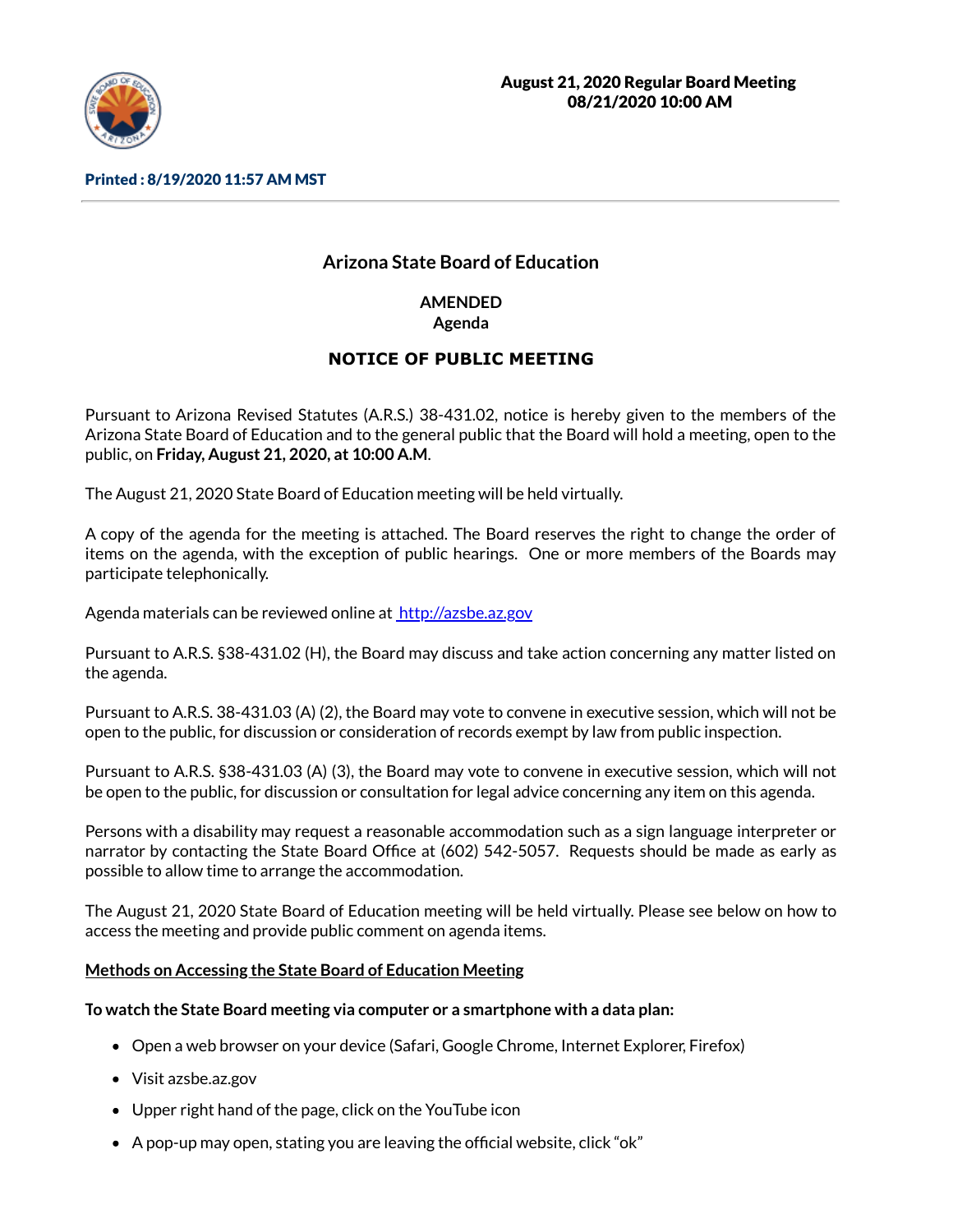

Printed : 8/19/2020 11:57 AM MST

# **Arizona State Board of Education**

**AMENDED Agenda**

# **NOTICE OF PUBLIC MEETING**

Pursuant to Arizona Revised Statutes (A.R.S.) 38-431.02, notice is hereby given to the members of the Arizona State Board of Education and to the general public that the Board will hold a meeting, open to the public, on **Friday, August 21, 2020, at 10:00 A.M**.

The August 21, 2020 State Board of Education meeting will be held virtually.

A copy of the agenda for the meeting is attached. The Board reserves the right to change the order of items on the agenda, with the exception of public hearings. One or more members of the Boards may participate telephonically.

Agenda materials can be reviewed online at [http://azsbe.az.gov](http://azsbe.az.gov/)

Pursuant to A.R.S. §38-431.02 (H), the Board may discuss and take action concerning any matter listed on the agenda.

Pursuant to A.R.S. 38-431.03 (A) (2), the Board may vote to convene in executive session, which will not be open to the public, for discussion or consideration of records exempt by law from public inspection.

Pursuant to A.R.S. §38-431.03 (A) (3), the Board may vote to convene in executive session, which will not be open to the public, for discussion or consultation for legal advice concerning any item on this agenda.

Persons with a disability may request a reasonable accommodation such as a sign language interpreter or narrator by contacting the State Board Office at (602) 542-5057. Requests should be made as early as possible to allow time to arrange the accommodation.

The August 21, 2020 State Board of Education meeting will be held virtually. Please see below on how to access the meeting and provide public comment on agenda items.

# **Methods on Accessing the State Board of Education Meeting**

### **To watch the State Board meeting via computer or a smartphone with a data plan:**

- Open a web browser on your device (Safari, Google Chrome, Internet Explorer, Firefox)
- Visit azsbe.az.gov
- Upper right hand of the page, click on the YouTube icon
- $\bullet$  A pop-up may open, stating you are leaving the official website, click "ok"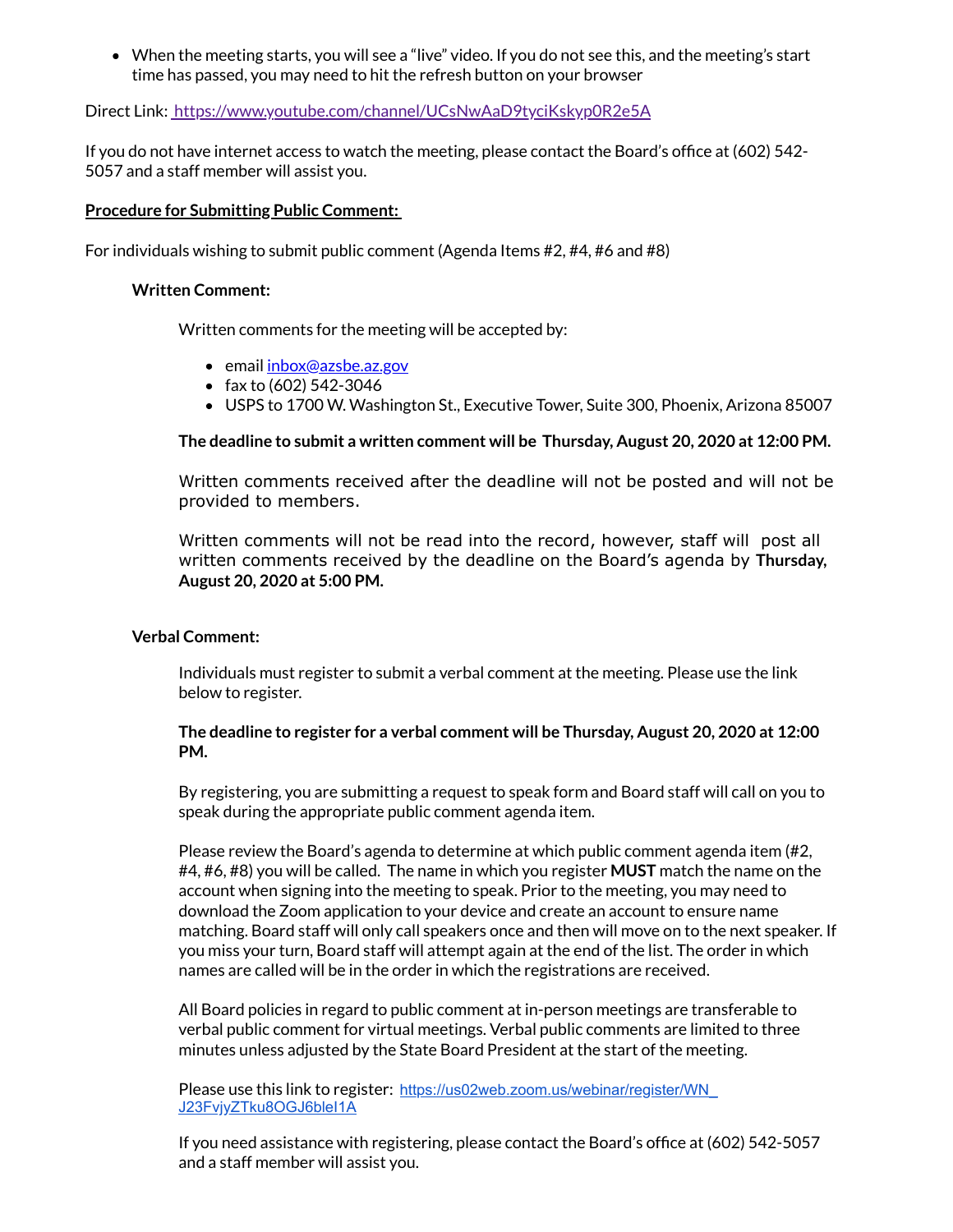When the meeting starts, you will see a "live" video. If you do not see this, and the meeting's start time has passed, you may need to hit the refresh button on your browser

Direct Link: <https://www.youtube.com/channel/UCsNwAaD9tyciKskyp0R2e5A>

If you do not have internet access to watch the meeting, please contact the Board's office at (602) 542-5057 and a staff member will assist you.

#### **Procedure for Submitting Public Comment:**

For individuals wishing to submit public comment (Agenda Items #2, #4, #6 and #8)

#### **Written Comment:**

Written comments for the meeting will be accepted by:

- email *[inbox@azsbe.az.gov](mailto:inbox@azsbe.az.gov)*
- fax to  $(602)$  542-3046
- USPS to 1700 W. Washington St., Executive Tower, Suite 300, Phoenix, Arizona 85007

**The deadline to submit a written comment will be Thursday, August 20, 2020 at 12:00 PM.**

Written comments received after the deadline will not be posted and will not be provided to members.

Written comments will not be read into the record, however, staff will post all written comments received by the deadline on the Board's agenda by **Thursday, August 20, 2020 at 5:00 PM.**

### **Verbal Comment:**

Individuals must register to submit a verbal comment at the meeting. Please use the link below to register.

### **The deadline to register for a verbal comment will be Thursday, August 20, 2020 at 12:00 PM.**

By registering, you are submitting a request to speak form and Board staff will call on you to speak during the appropriate public comment agenda item.

Please review the Board's agenda to determine at which public comment agenda item (#2, #4, #6, #8) you will be called. The name in which you register **MUST** match the name on the account when signing into the meeting to speak. Prior to the meeting, you may need to download the Zoom application to your device and create an account to ensure name matching. Board staff will only call speakers once and then will move on to the next speaker. If you miss your turn, Board staff will attempt again at the end of the list. The order in which names are called will be in the order in which the registrations are received.

All Board policies in regard to public comment at in-person meetings are transferable to verbal public comment for virtual meetings. Verbal public comments are limited to three minutes unless adjusted by the State Board President at the start of the meeting.

Please use this link to register: [https://us02web.zoom.us/webinar/register/WN\\_](https://us02web.zoom.us/webinar/register/WN_J23FvjyZTku8OGJ6bleI1A) J23FvjyZTku8OGJ6bleI1A

If you need assistance with registering, please contact the Board's office at (602) 542-5057 and a staff member will assist you.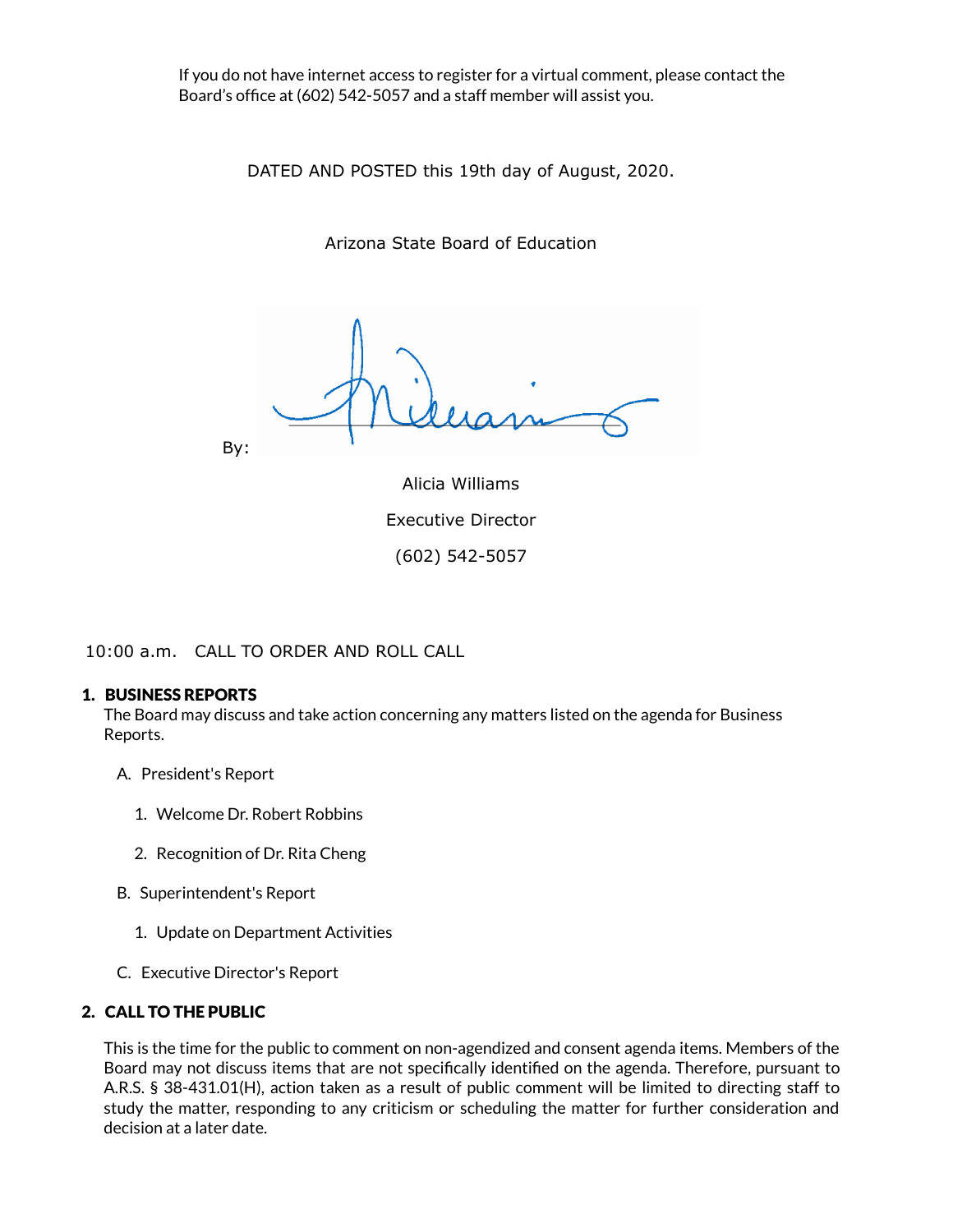If you do not have internet access to register for a virtual comment, please contact the Board's office at (602) 542-5057 and a staff member will assist you.

DATED AND POSTED this 19th day of August, 2020.

Arizona State Board of Education

By:

Alicia Williams Executive Director (602) 542-5057

10:00 a.m. CALL TO ORDER AND ROLL CALL

#### 1. BUSINESS REPORTS

The Board may discuss and take action concerning any matters listed on the agenda for Business Reports.

- A. President's Report
	- 1. Welcome Dr. Robert Robbins
	- 2. Recognition of Dr. Rita Cheng
- B. Superintendent's Report
	- 1. Update on Department Activities
- C. Executive Director's Report

### 2. CALL TO THE PUBLIC

This is the time for the public to comment on non-agendized and consent agenda items. Members of the Board may not discuss items that are not specifically identified on the agenda. Therefore, pursuant to A.R.S. § 38-431.01(H), action taken as a result of public comment will be limited to directing staff to study the matter, responding to any criticism or scheduling the matter for further consideration and decision at a later date.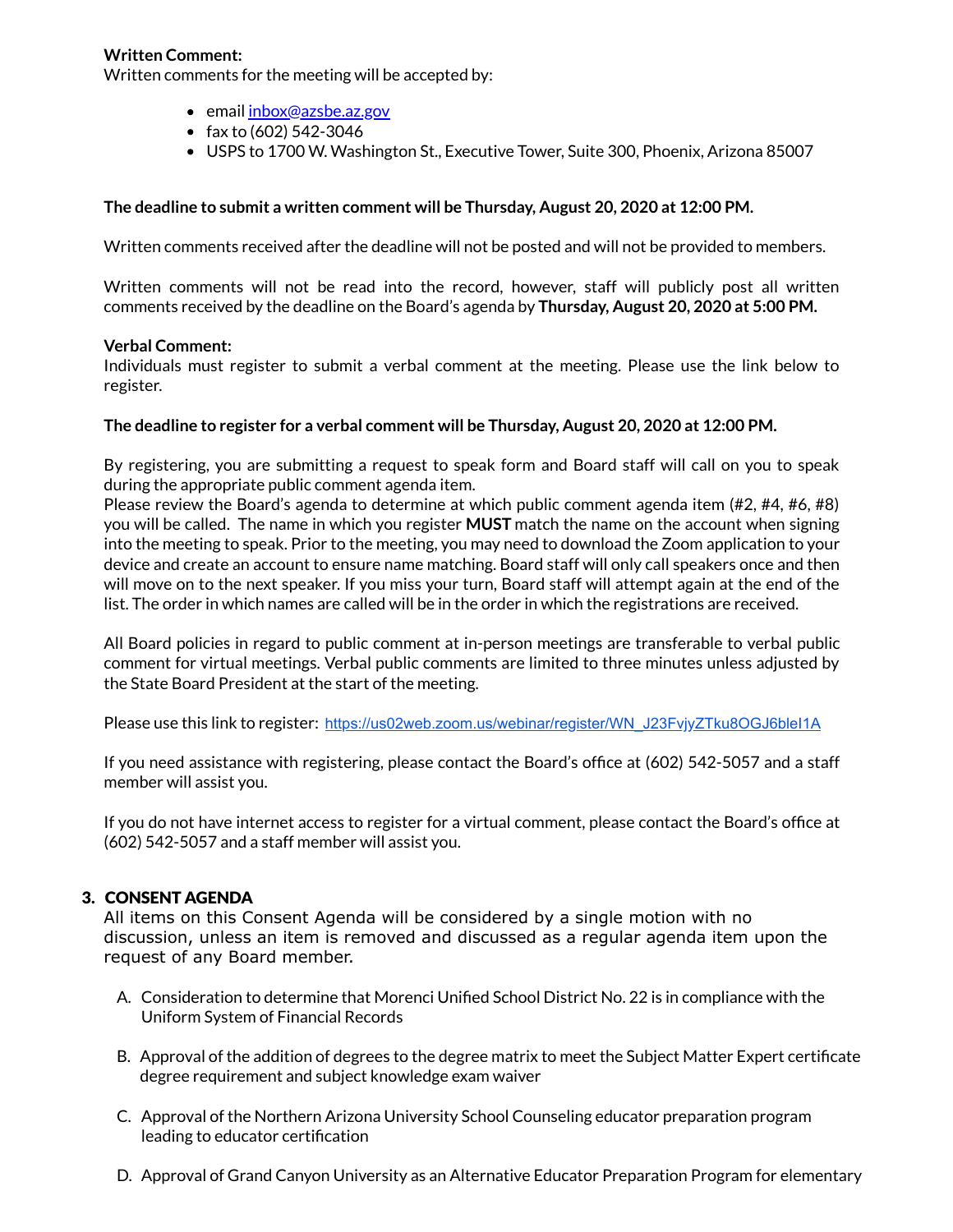# **Written Comment:**

Written comments for the meeting will be accepted by:

- email [inbox@azsbe.az.gov](mailto:inbox@azsbe.az.gov)
- fax to  $(602)$  542-3046
- USPS to 1700 W. Washington St., Executive Tower, Suite 300, Phoenix, Arizona 85007

#### **The deadline to submit a written comment will be Thursday, August 20, 2020 at 12:00 PM.**

Written comments received after the deadline will not be posted and will not be provided to members.

Written comments will not be read into the record, however, staff will publicly post all written comments received by the deadline on the Board's agenda by **Thursday, August 20, 2020 at 5:00 PM.**

#### **Verbal Comment:**

Individuals must register to submit a verbal comment at the meeting. Please use the link below to register.

#### **The deadline to register for a verbal comment will be Thursday, August 20, 2020 at 12:00 PM.**

By registering, you are submitting a request to speak form and Board staff will call on you to speak during the appropriate public comment agenda item.

Please review the Board's agenda to determine at which public comment agenda item (#2, #4, #6, #8) you will be called. The name in which you register **MUST** match the name on the account when signing into the meeting to speak. Prior to the meeting, you may need to download the Zoom application to your device and create an account to ensure name matching. Board staff will only call speakers once and then will move on to the next speaker. If you miss your turn, Board staff will attempt again at the end of the list. The order in which names are called will be in the order in which the registrations are received.

All Board policies in regard to public comment at in-person meetings are transferable to verbal public comment for virtual meetings. Verbal public comments are limited to three minutes unless adjusted by the State Board President at the start of the meeting.

Please use this link to register: [https://us02web.zoom.us/webinar/register/WN\\_J23FvjyZTku8OGJ6bleI1A](https://us02web.zoom.us/webinar/register/WN_J23FvjyZTku8OGJ6bleI1A)

If you need assistance with registering, please contact the Board's office at (602) 542-5057 and a staff member will assist you.

If you do not have internet access to register for a virtual comment, please contact the Board's office at (602) 542-5057 and a staff member will assist you.

### 3. CONSENT AGENDA

All items on this Consent Agenda will be considered by a single motion with no discussion, unless an item is removed and discussed as a regular agenda item upon the request of any Board member.

- A. Consideration to determine that Morenci Unified School District No. 22 is in compliance with the Uniform System of Financial Records
- B. Approval of the addition of degrees to the degree matrix to meet the Subject Matter Expert certificate degree requirement and subject knowledge exam waiver
- C. Approval of the Northern Arizona University School Counseling educator preparation program leading to educator certification
- D. Approval of Grand Canyon University as an Alternative Educator Preparation Program for elementary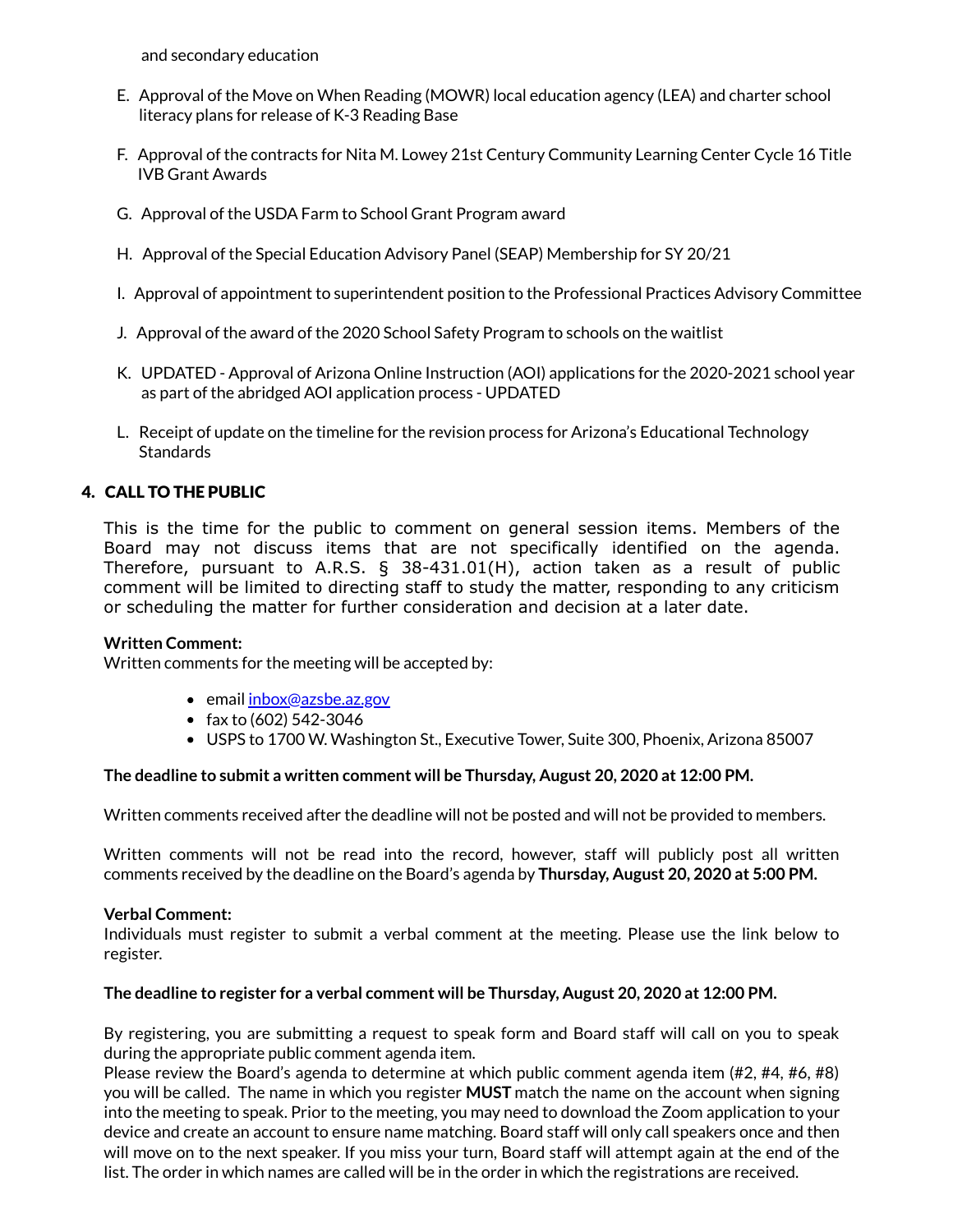and secondary education

- E. Approval of the Move on When Reading (MOWR) local education agency (LEA) and charter school literacy plans for release of K-3 Reading Base
- F. Approval of the contracts for Nita M. Lowey 21st Century Community Learning Center Cycle 16 Title IVB Grant Awards
- G. Approval of the USDA Farm to School Grant Program award
- H. Approval of the Special Education Advisory Panel (SEAP) Membership for SY 20/21
- I. Approval of appointment to superintendent position to the Professional Practices Advisory Committee
- J. Approval of the award of the 2020 School Safety Program to schools on the waitlist
- K. UPDATED Approval of Arizona Online Instruction (AOI) applications for the 2020-2021 school year as part of the abridged AOI application process - UPDATED
- L. Receipt of update on the timeline for the revision process for Arizona's Educational Technology Standards

# 4. CALL TO THE PUBLIC

This is the time for the public to comment on general session items. Members of the Board may not discuss items that are not specifically identified on the agenda. Therefore, pursuant to A.R.S. § 38-431.01(H), action taken as a result of public comment will be limited to directing staff to study the matter, responding to any criticism or scheduling the matter for further consideration and decision at a later date.

#### **Written Comment:**

Written comments for the meeting will be accepted by:

- email *[inbox@azsbe.az.gov](mailto:inbox@azsbe.az.gov)*
- fax to  $(602)$  542-3046
- USPS to 1700 W. Washington St., Executive Tower, Suite 300, Phoenix, Arizona 85007

#### **The deadline to submit a written comment will be Thursday, August 20, 2020 at 12:00 PM.**

Written comments received after the deadline will not be posted and will not be provided to members.

Written comments will not be read into the record, however, staff will publicly post all written comments received by the deadline on the Board's agenda by **Thursday, August 20, 2020 at 5:00 PM.**

### **Verbal Comment:**

Individuals must register to submit a verbal comment at the meeting. Please use the link below to register.

### **The deadline to register for a verbal comment will be Thursday, August 20, 2020 at 12:00 PM.**

By registering, you are submitting a request to speak form and Board staff will call on you to speak during the appropriate public comment agenda item.

Please review the Board's agenda to determine at which public comment agenda item (#2, #4, #6, #8) you will be called. The name in which you register **MUST** match the name on the account when signing into the meeting to speak. Prior to the meeting, you may need to download the Zoom application to your device and create an account to ensure name matching. Board staff will only call speakers once and then will move on to the next speaker. If you miss your turn, Board staff will attempt again at the end of the list. The order in which names are called will be in the order in which the registrations are received.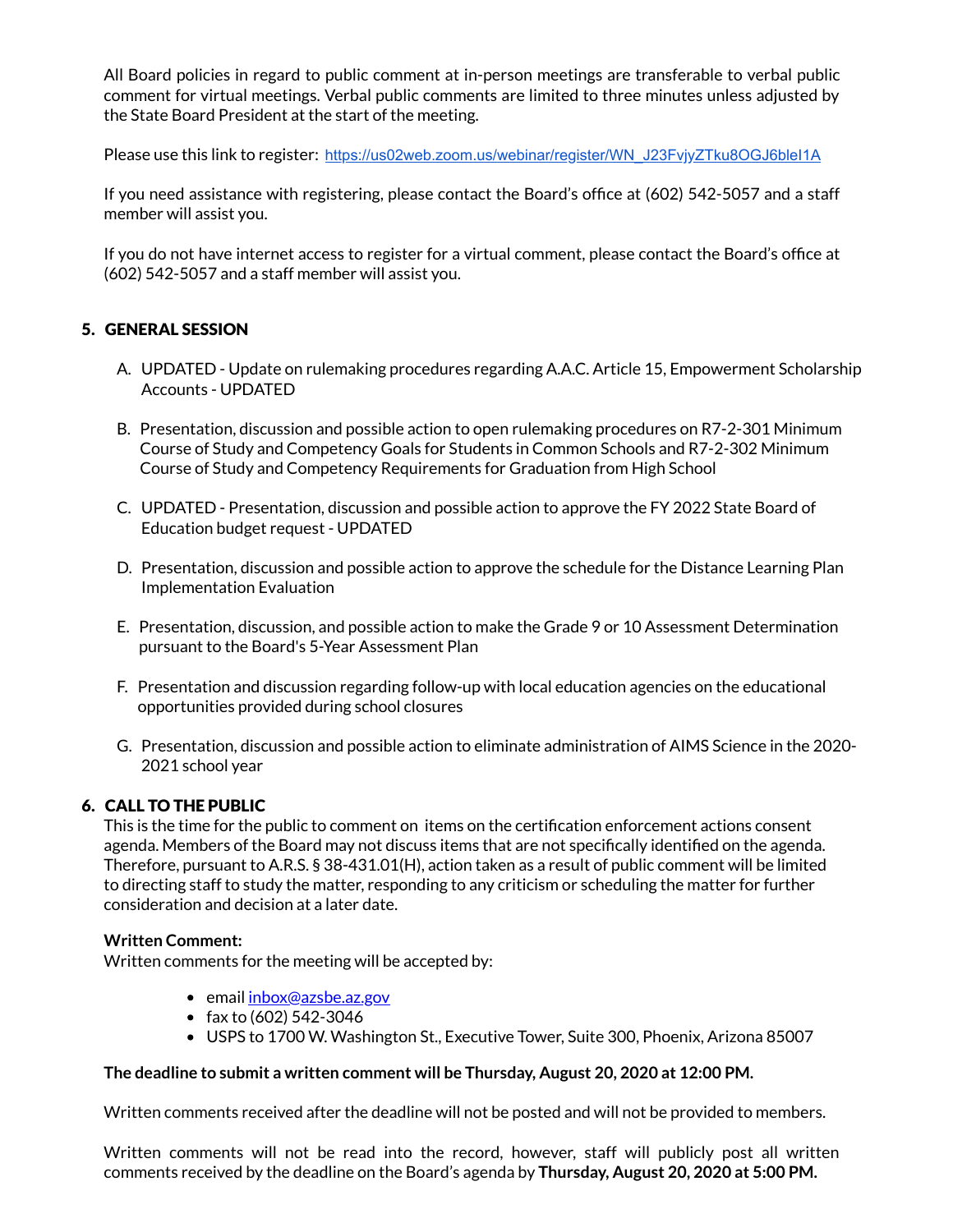All Board policies in regard to public comment at in-person meetings are transferable to verbal public comment for virtual meetings. Verbal public comments are limited to three minutes unless adjusted by the State Board President at the start of the meeting.

Please use this link to register: [https://us02web.zoom.us/webinar/register/WN\\_J23FvjyZTku8OGJ6bleI1A](https://us02web.zoom.us/webinar/register/WN_J23FvjyZTku8OGJ6bleI1A)

If you need assistance with registering, please contact the Board's office at (602) 542-5057 and a staff member will assist you.

If you do not have internet access to register for a virtual comment, please contact the Board's office at (602) 542-5057 and a staff member will assist you.

# 5. GENERAL SESSION

- A. UPDATED Update on rulemaking procedures regarding A.A.C. Article 15, Empowerment Scholarship Accounts - UPDATED
- B. Presentation, discussion and possible action to open rulemaking procedures on R7-2-301 Minimum Course of Study and Competency Goals for Students in Common Schools and R7-2-302 Minimum Course of Study and Competency Requirements for Graduation from High School
- C. UPDATED Presentation, discussion and possible action to approve the FY 2022 State Board of Education budget request - UPDATED
- D. Presentation, discussion and possible action to approve the schedule for the Distance Learning Plan Implementation Evaluation
- E. Presentation, discussion, and possible action to make the Grade 9 or 10 Assessment Determination pursuant to the Board's 5-Year Assessment Plan
- F. Presentation and discussion regarding follow-up with local education agencies on the educational opportunities provided during school closures
- G. Presentation, discussion and possible action to eliminate administration of AIMS Science in the 2020- 2021 school year

### 6. CALL TO THE PUBLIC

This is the time for the public to comment on items on the certification enforcement actions consent agenda. Members of the Board may not discuss items that are not specifically identified on the agenda. Therefore, pursuant to A.R.S. § 38-431.01(H), action taken as a result of public comment will be limited to directing staff to study the matter, responding to any criticism or scheduling the matter for further consideration and decision at a later date.

### **Written Comment:**

Written comments for the meeting will be accepted by:

- email [inbox@azsbe.az.gov](mailto:inbox@azsbe.az.gov)
- fax to  $(602)$  542-3046
- USPS to 1700 W. Washington St., Executive Tower, Suite 300, Phoenix, Arizona 85007

### **The deadline to submit a written comment will be Thursday, August 20, 2020 at 12:00 PM.**

Written comments received after the deadline will not be posted and will not be provided to members.

Written comments will not be read into the record, however, staff will publicly post all written comments received by the deadline on the Board's agenda by **Thursday, August 20, 2020 at 5:00 PM.**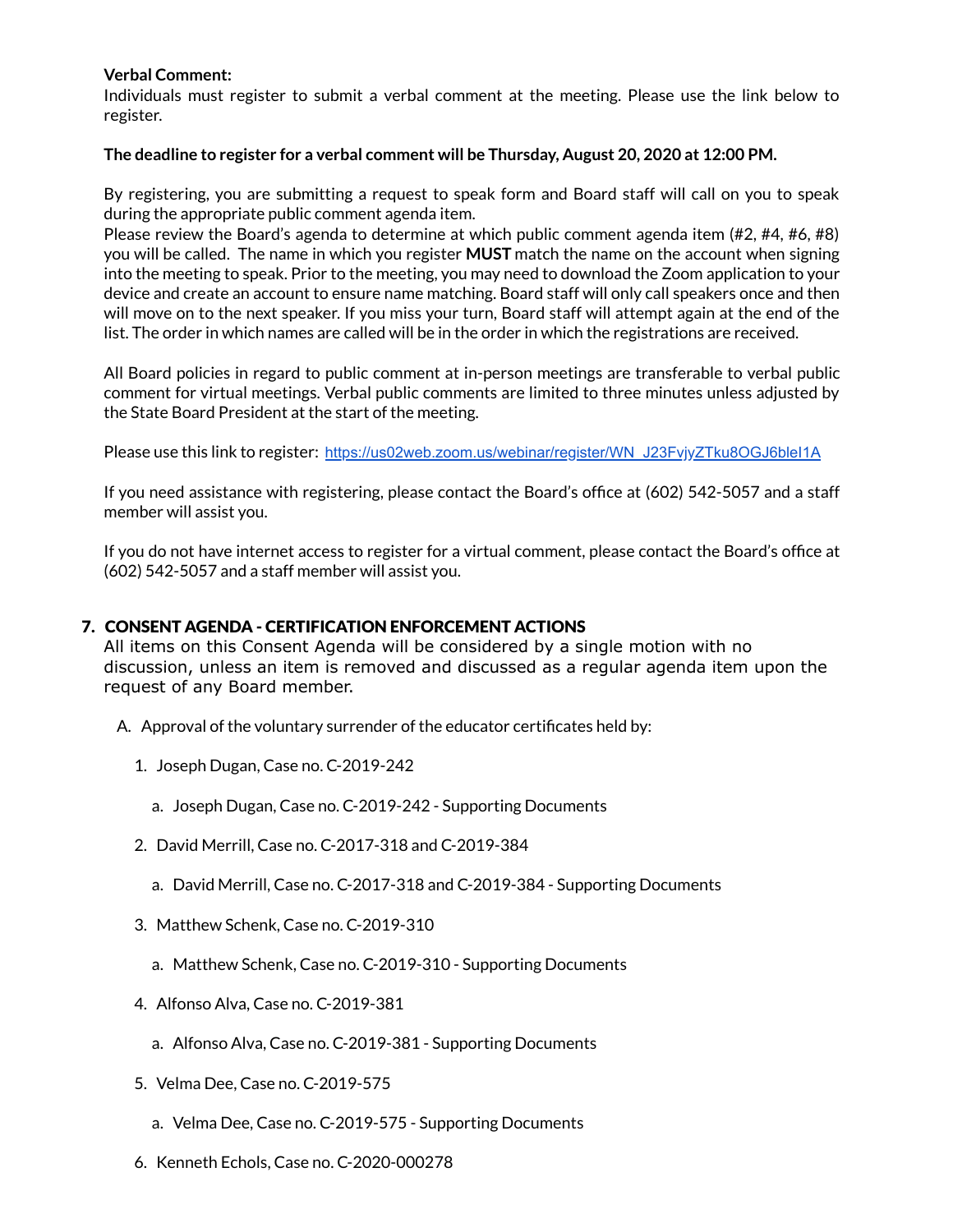# **Verbal Comment:**

Individuals must register to submit a verbal comment at the meeting. Please use the link below to register.

### **The deadline to register for a verbal comment will be Thursday, August 20, 2020 at 12:00 PM.**

By registering, you are submitting a request to speak form and Board staff will call on you to speak during the appropriate public comment agenda item.

Please review the Board's agenda to determine at which public comment agenda item (#2, #4, #6, #8) you will be called. The name in which you register **MUST** match the name on the account when signing into the meeting to speak. Prior to the meeting, you may need to download the Zoom application to your device and create an account to ensure name matching. Board staff will only call speakers once and then will move on to the next speaker. If you miss your turn, Board staff will attempt again at the end of the list. The order in which names are called will be in the order in which the registrations are received.

All Board policies in regard to public comment at in-person meetings are transferable to verbal public comment for virtual meetings. Verbal public comments are limited to three minutes unless adjusted by the State Board President at the start of the meeting.

Please use this link to register: [https://us02web.zoom.us/webinar/register/WN\\_J23FvjyZTku8OGJ6bleI1A](https://us02web.zoom.us/webinar/register/WN_J23FvjyZTku8OGJ6bleI1A)

If you need assistance with registering, please contact the Board's office at  $(602)$  542-5057 and a staff member will assist you.

If you do not have internet access to register for a virtual comment, please contact the Board's office at (602) 542-5057 and a staff member will assist you.

# 7. CONSENT AGENDA - CERTIFICATION ENFORCEMENT ACTIONS

All items on this Consent Agenda will be considered by a single motion with no discussion, unless an item is removed and discussed as a regular agenda item upon the request of any Board member.

- A. Approval of the voluntary surrender of the educator certificates held by:
	- 1. Joseph Dugan, Case no. C-2019-242
		- a. Joseph Dugan, Case no. C-2019-242 Supporting Documents
	- 2. David Merrill, Case no. C-2017-318 and C-2019-384
		- a. David Merrill, Case no. C-2017-318 and C-2019-384 Supporting Documents
	- 3. Matthew Schenk, Case no. C-2019-310
		- a. Matthew Schenk, Case no. C-2019-310 Supporting Documents
	- 4. Alfonso Alva, Case no. C-2019-381
		- a. Alfonso Alva, Case no. C-2019-381 Supporting Documents
	- 5. Velma Dee, Case no. C-2019-575
		- a. Velma Dee, Case no. C-2019-575 Supporting Documents
	- 6. Kenneth Echols, Case no. C-2020-000278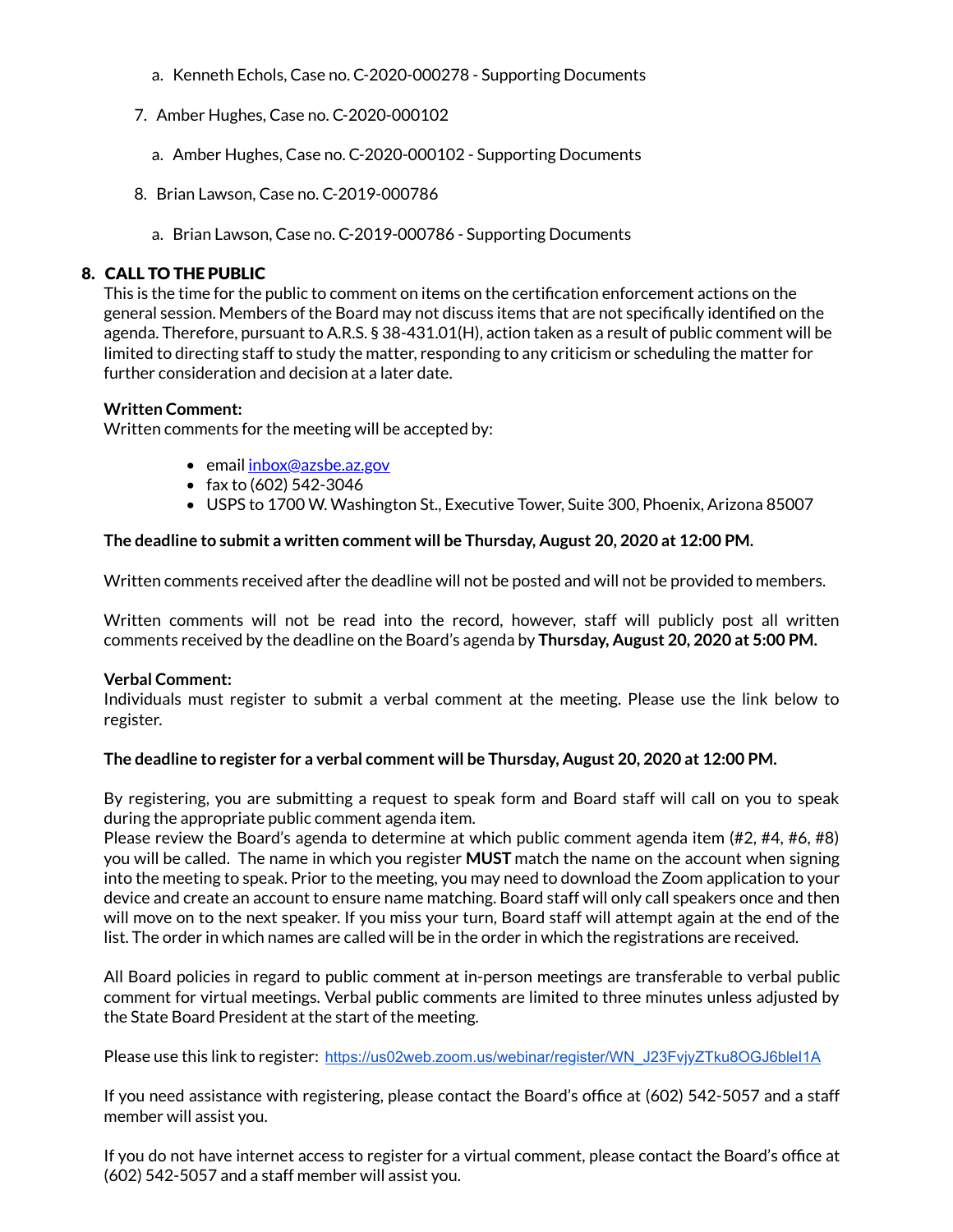- a. Kenneth Echols, Case no. C-2020-000278 Supporting Documents
- 7. Amber Hughes, Case no. C-2020-000102
	- a. Amber Hughes, Case no. C-2020-000102 Supporting Documents
- 8. Brian Lawson, Case no. C-2019-000786
	- a. Brian Lawson, Case no. C-2019-000786 Supporting Documents

# 8. CALL TO THE PUBLIC

This is the time for the public to comment on items on the certification enforcement actions on the general session. Members of the Board may not discuss items that are not specifically identified on the agenda. Therefore, pursuant to A.R.S. § 38-431.01(H), action taken as a result of public comment will be limited to directing staff to study the matter, responding to any criticism or scheduling the matter for further consideration and decision at a later date.

### **Written Comment:**

Written comments for the meeting will be accepted by:

- email [inbox@azsbe.az.gov](mailto:inbox@azsbe.az.gov)
- fax to  $(602)$  542-3046
- USPS to 1700 W. Washington St., Executive Tower, Suite 300, Phoenix, Arizona 85007

# **The deadline to submit a written comment will be Thursday, August 20, 2020 at 12:00 PM.**

Written comments received after the deadline will not be posted and will not be provided to members.

Written comments will not be read into the record, however, staff will publicly post all written comments received by the deadline on the Board's agenda by **Thursday, August 20, 2020 at 5:00 PM.**

### **Verbal Comment:**

Individuals must register to submit a verbal comment at the meeting. Please use the link below to register.

### **The deadline to register for a verbal comment will be Thursday, August 20, 2020 at 12:00 PM.**

By registering, you are submitting a request to speak form and Board staff will call on you to speak during the appropriate public comment agenda item.

Please review the Board's agenda to determine at which public comment agenda item (#2, #4, #6, #8) you will be called. The name in which you register **MUST** match the name on the account when signing into the meeting to speak. Prior to the meeting, you may need to download the Zoom application to your device and create an account to ensure name matching. Board staff will only call speakers once and then will move on to the next speaker. If you miss your turn, Board staff will attempt again at the end of the list. The order in which names are called will be in the order in which the registrations are received.

All Board policies in regard to public comment at in-person meetings are transferable to verbal public comment for virtual meetings. Verbal public comments are limited to three minutes unless adjusted by the State Board President at the start of the meeting.

Please use this link to register: [https://us02web.zoom.us/webinar/register/WN\\_J23FvjyZTku8OGJ6bleI1A](https://us02web.zoom.us/webinar/register/WN_J23FvjyZTku8OGJ6bleI1A)

If you need assistance with registering, please contact the Board's office at (602) 542-5057 and a staff member will assist you.

If you do not have internet access to register for a virtual comment, please contact the Board's office at (602) 542-5057 and a staff member will assist you.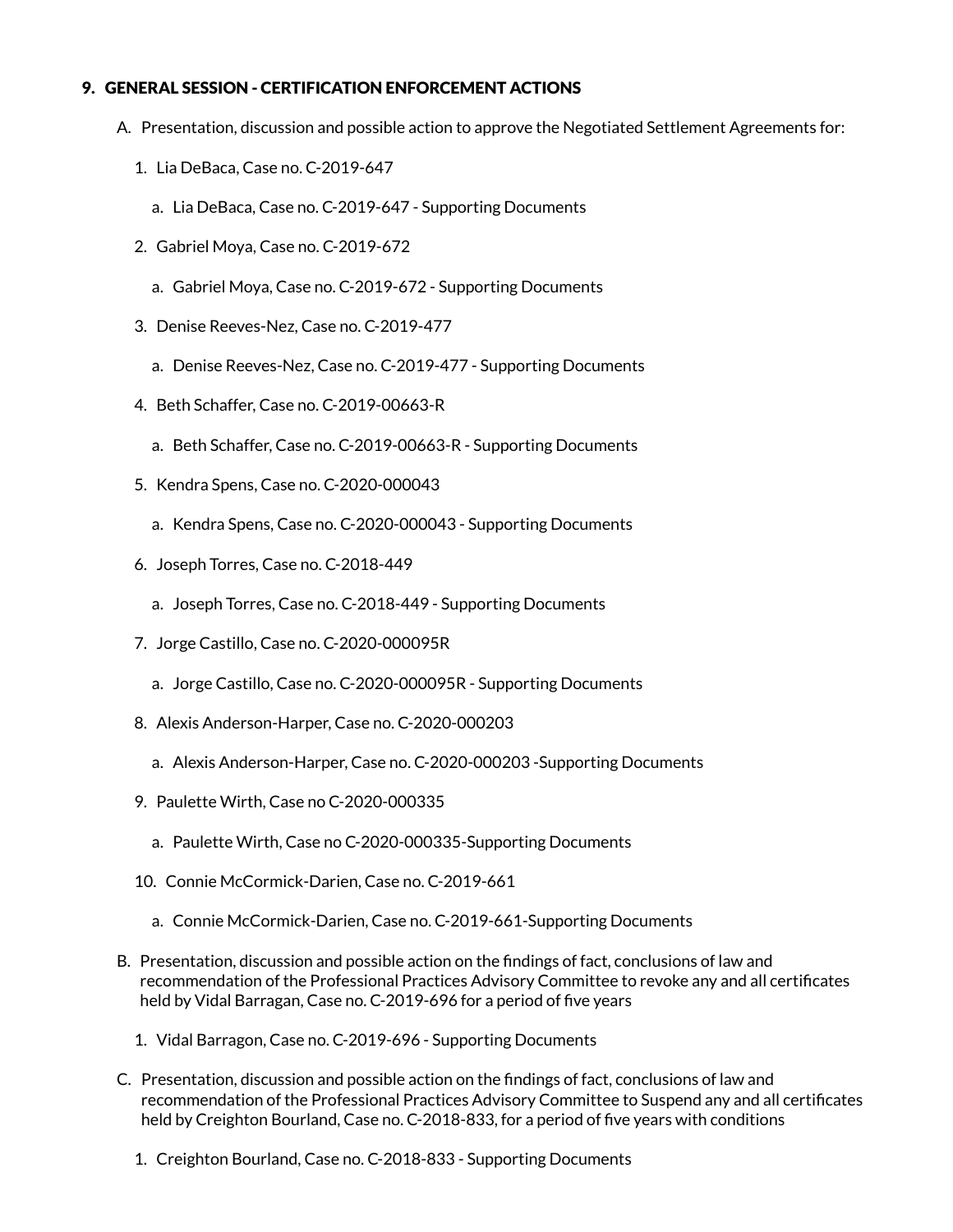# 9. GENERAL SESSION - CERTIFICATION ENFORCEMENT ACTIONS

- A. Presentation, discussion and possible action to approve the Negotiated Settlement Agreements for:
	- 1. Lia DeBaca, Case no. C-2019-647
		- a. Lia DeBaca, Case no. C-2019-647 Supporting Documents
	- 2. Gabriel Moya, Case no. C-2019-672
		- a. Gabriel Moya, Case no. C-2019-672 Supporting Documents
	- 3. Denise Reeves-Nez, Case no. C-2019-477
		- a. Denise Reeves-Nez, Case no. C-2019-477 Supporting Documents
	- 4. Beth Schaffer, Case no. C-2019-00663-R
		- a. Beth Schaffer, Case no. C-2019-00663-R Supporting Documents
	- 5. Kendra Spens, Case no. C-2020-000043
		- a. Kendra Spens, Case no. C-2020-000043 Supporting Documents
	- 6. Joseph Torres, Case no. C-2018-449
		- a. Joseph Torres, Case no. C-2018-449 Supporting Documents
	- 7. Jorge Castillo, Case no. C-2020-000095R
		- a. Jorge Castillo, Case no. C-2020-000095R Supporting Documents
	- 8. Alexis Anderson-Harper, Case no. C-2020-000203
		- a. Alexis Anderson-Harper, Case no. C-2020-000203 -Supporting Documents
	- 9. Paulette Wirth, Case no C-2020-000335
		- a. Paulette Wirth, Case no C-2020-000335-Supporting Documents
	- 10. Connie McCormick-Darien, Case no. C-2019-661
		- a. Connie McCormick-Darien, Case no. C-2019-661-Supporting Documents
- B. Presentation, discussion and possible action on the findings of fact, conclusions of law and recommendation of the Professional Practices Advisory Committee to revoke any and all certificates held by Vidal Barragan, Case no. C-2019-696 for a period of five years
	- 1. Vidal Barragon, Case no. C-2019-696 Supporting Documents
- C. Presentation, discussion and possible action on the findings of fact, conclusions of law and recommendation of the Professional Practices Advisory Committee to Suspend any and all certificates held by Creighton Bourland, Case no. C-2018-833, for a period of five years with conditions
	- 1. Creighton Bourland, Case no. C-2018-833 Supporting Documents